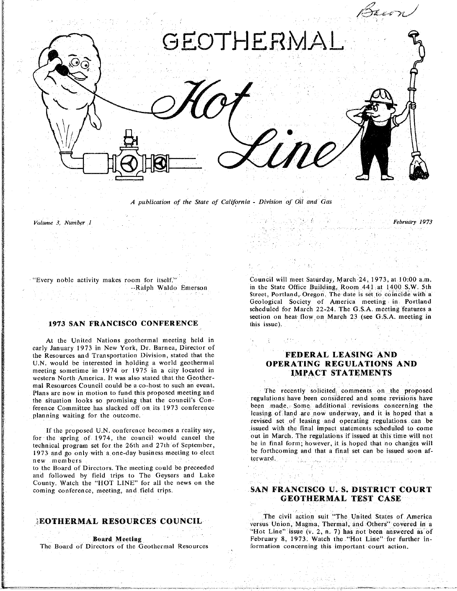

*A publication of the State of California* **-** *Division o*f *Oil and Gas*

*Volume 3*. *Number 1* " " *Febru*d\_'*y 19"73*

### **1**9**73 SAN FRANCISC**O **CONFERENCE** this issue**)***.*

**At t**he **Unit**e**d Nations g**e**ot**he**rmal m**ee**ting** hel**d in he** Resources and Transportation Division, stated that the the Resources and Transportation Division, stated that the **FEDERAL LEASING AND**<br>U.N. would be interested in holding a world geothermal **OPERATING REGULATIONS AND** meeting sometime in 1974 or 1975 in a city located in **IMPACT STATEMENTS**  $w$ estern North America. It was also stated that the Geother $n = 0$  **Resources** Council could be a co-host to such an event. Plans are now in motion to fund this proposed meeting and the situation looks so promising that the council's Con-regulations have been considered and some revisions have ference Committee has slacked off on its 1973 conference been made. Some additional revisions concerning the planning waiting for the outcome. leasing of land are now underway, and it is hoped that a

for the spring of 1974, the council would cancel the cancel the region of the region of the out in final form; however, it is hoped that no changes will rechnical program set for the 26th and 27th of September, technical program set for the 20th and 27th of September. be forthcoming and that a final set can be issued soon af-<br>1973 and go only with a one-day business meeting to elect 1973 and go only with a only with a only with a set community to elect be forward. The final set can be issued so

to the Board of Directors. The meeting could be preceeded and followed by field trips to The Geysers and Lake County. Watch the "HOT LINE" for all the news on the coming conference, meeting, and field trips.

### EOTHERMAL RESOURCES COUNCIL

The Board of Directors of the Geothermal Resources

"Every noble activity makes r**o**om for itself." Council will meet Saturday, March*-*24, 1973. at 10:00 a.m. Street, Portland, Oregon. The date is set to coincide with a Geological Society of America meeting in Portland scheduled for March 22-24. The G.S.A. meeting features a scheduled for March 22-24. The G.S.*A*. meeting features a section on  $\mathbb{R}^3$  (see G.S. and March 23 (see G.S. and  $\mathbb{R}^3$ ) in the extension of  $\mathbb{R}^3$ 

The recently solicited comments on the proposed revised set of leasing and operating regulations can be issued with the final impact statements scheduled to come If the proposed U.N. conference becomes a reality say, issued with the final impact statements scheduled to come<br>for the spring of 1974, the council would cancel the out in March. The regulations if issued at this time wil

## coming conference, meeting, **a**nd f**i**eld trip**s**. S**A**N FR**ANCIS**CO U. **S.** D**IST**RI**CT COU**R**T GEOTHERMAL SERVAL**

The ci**vi**l ac**t**ion **s**uit "The Un**i**ted **Sta**tes of **A**mer**i**ca  $E^*$ Hot Line<sup>*n*</sup> issue (v. 2, n. 7) has not been answered as of **Hot Line"** for further in-**Board Meeting**<br> **Board Meeting**<br> **February** 8, 1973. Watch the "Hot Line" for further<br> **February** 8, 1973. Watch the "Hot Line" for further<br> **February** 8, 1973. Watch the "Hot Line" for further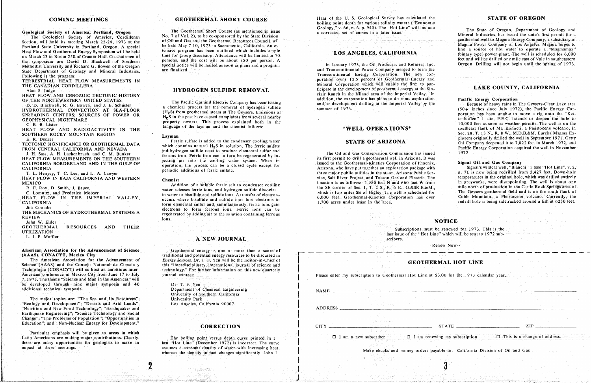Section will held and the Counter of Oil and Gas and the Georgical Society of Alliel Corumer of Oil and Gas and the Georgical Society of Alliel Science of Oil and Gas and the Georgical Society of Los Angeles. Magma Power C Magma Power Company of Los Angeles. Magma hopes to the Magma Magma Power Company of Los Angeles. Magma hopes to<br>Portland State University in Portland, Oregon. A special tensive program has been outlined which includes anni Heat Flow and Geothermal Energy Symposium will be held tensive program has been outlined which includes ample LOS ANGELES, CALIFORNIA on March 23 in Room 250 of Cramer Hall. Co-chairmen of time for group discussion. Attendance will be limited to 70<br>the symposium are David D. Blackwell of Southern persons, and the cost will be about \$50 per person. A Methodist University and Richard G. Bowen of the Oregon special notice will be mailed as soon as plans and a program In January 1973, the Oil Producers and Refiners, Inc. Oregon, Drilling will not begin until the spring of State Department of Geology and Mineral Industries, are finalized. The contract of Company merged to form the

**TERRESTATE HEAT FLOW MEASOREMENTS** IN **percent** of  $\mathbf{p}$  **Mineral Corporation** which will enable the firm to par-<br>THE CANADIAN CORDILLERA

**REAT FLOW AND RADIOACTIVITY IN THE SOUTHERN ROCKY MOUNTAIN REGION** 

FROM MEASUREMENTS ON THE SOUTHERN ferrous iron. Ferric iron can in turn be regenerated by in-<br>HEAT FLOW MEASUREMENTS ON THE SOUTHERN jecting air into the cooling water system. When in its first permit to drill a geothermal CALIFORNIA BORDERLAND AND IN THE GULF OF success on the cooling water system. When in its issued to the Geothermal-Kinetics Corporation of Phoenix,

HEAT FLOW IN BAJA CALIFORNIA AND WESTERN Chemist Chemist States and Tucson Gas and Electric. The

THE MECHANICS OF HYDROTHERMAL SY**S**TEMS: *A* regenerated by adding air to the solution containing ferrou**s** EVIEW ions.<br>John W. Elder

# American Association for the Advancement of Science

### RMAL HOT LINE

wing my subscription.  $\Box$  This is a change of address.

The Geothermal Short Course (as mentioned in issue Geological Society of America, Portland, Oregon The Geothermal Short Course (as mentioned in issue<br>The Geological Society of America, Cordilleran No. 7 of Vol. 2), to be co-sponsored by the State Division persons, and the cost will be about \$50 per person. A

D. Blackwell, R. G. Bowen, and J. E. Schuster a channel and the rathe cas and Electric Company has been testing<br>
HYDROTHERMAL CONVECTION AT SEA-FLOOR (II S) from the removal of hydrogen sulfide summer of 1973. (50+ inches HYDROTHERMAL CONVECTION AT SEA-FLOOK (H<sub>2</sub>S) from geothermal steam at The Geysers. Emissions of the name of 1210, the conversion of the conversion of the conversion of the conversion of the conversion of the conversion of SPREADING CENTERS: SOURCES OF POWER OR H<sub>2</sub>S in the past have caused complaints from several nearby<br>GEOPHYSICAL NIGHTMARE tenhoffen" I site. P.E.C. intends to deepen the hole to EOPHYSICAL NIGHTMAKE property owners. This process explained both in the three contracts in the contracts of the large of the large of the large of the large of the large of the large of the large of the large of the large

FROM CENTRAL CALIFORNIA AND NEVADA and the hydrogen sulfide received a solution. The ferric sulfate on the contains in the contains in the contains in the contains in the contains in the contains in the contains in the con TEOM CENIRAL CALIFORNIA AND NEVADA include the second sulfide react to produce elemental sulfur and<br>
I. H. Sass, A. H. Lachenbruch, and C. M. Bunker for the ferric such the reservated by in the contentration of the Oil and

**MEXICO A A EXICO EXICO CONDUCTER CONDUCTER COOLING EXICO COOLING EXICO COOLING COOLING COOLING COOLING COOLING COOLING COOLING COOLING COOLING COOLING COOLING COOLING COOLING C. Lomnitz, and Frederico Mooser** and **MOOSE and HEAT** FLOW IN THE IMPERIAL VALLEY, a socurre to bissuit and sulfide and sulfide dissociations. in water to bisuinde and suifide ions. A transfer of electron.<br>
6,000 feet. Geothermal-Kinetics Corporation has over Cobb Mountain, a Pleistocene volcano. Currently, the<br>
1,700 acres under lease in the area. CALIFORNIA CONTRACTED AND COULD TO A SERVE OCCUPS Where DISULTIQUE and SUINGE 1008 OCCUPS Where DISULTIQUE and SUINGE 1,700 acres under lease in the area. The redrill hole is being sidetracked around a fish at 6250 feet. Form elemental suita and, simultaneously, ferric tons gain 1.700 acres under least to the article of the article is a fish at 6250 feel is being side and the article is being side of the around a fish at 6250 feel is at 62 THE MECHANICS OF HYDROTHERMAL SYSTEMS: A regenerated by adding air to the solution containing ferrous

Haas of the U. S. Geological Survey has calculated the **COMING MEETINGS GEOTHERMAL SHORT COURSE** Haas of the U.S. Geological Survey has calculated the **COMING MEETINGS Geology**," v. 66, n. 6, p. 940). The "Hot Line" will include

State Department of Geology and Mineral Industries,<br>Following is the program: The new cor-**Following is the program: Continued But the** *Energy* **Continues EXP CORPORER CORPORER PROPERTIAL Energy** and **FOLLOWING Energy** and **FOLLOWING Energy** and **FOLLOWING Energy and** THE CANADIAN CORDILLERA MINERAL MINERAL MINERAL STREMOVAL distinct the development of geothermal energy at the Sin-<br>Alan S. Judge HEAT FLOW AND CENOZOIC TECTONIC HISTORY **EXAMPLE AT A PARTICLE AT A PARTICLE AND A** clair Ranch in the Niland area of the Imperial Valley. In OF THE NORTHWESTERN UNITED STATES The Pacific Gas and Electric Company has been testing addition, the corporation has plans to do some exploration<br>The Pacific Gas and Electric Company has been testing and/or development dr **addition**, the corporation has plans to do some exploration<br> **Pacific Energy Corporation**<br> **Pacific Energy Corporation**<br> **Pacific Energy Corporation**<br> **Pacific Energy Corporation** 

CALIFORNIA CORPERATION AND IN THE SULT OF SULT OF SULT ON THE SULT OF SULT ON THE SULT OF SULT OF SULT OF SULT<br>
CALIFORNIA CALIFORNIA CORPERATION ATTACHER AND THE SULT OF SULT OF SULT OF A CALIFORNIA CALIFORNIA CALIFORNIA<br>

| John W. Elder                                                                                                  | ions.                                                                                                                       |                                                                                           |                                                                                                                     | <b>NOTICE</b>                        |                       |  |
|----------------------------------------------------------------------------------------------------------------|-----------------------------------------------------------------------------------------------------------------------------|-------------------------------------------------------------------------------------------|---------------------------------------------------------------------------------------------------------------------|--------------------------------------|-----------------------|--|
| <b>GEOTHERMAL</b><br><b>RESOURCES</b><br><b>THEIR</b><br>AND.<br><b>UTILIZATION</b><br>L. J. P. Muffler        | A NEW JOURNAL                                                                                                               |                                                                                           | Subscriptions must be renewed for 1973. This is the<br>last issue of the "Hot Line" which will be sent to 1972 sub- |                                      |                       |  |
|                                                                                                                |                                                                                                                             |                                                                                           | scribers.                                                                                                           |                                      |                       |  |
|                                                                                                                |                                                                                                                             |                                                                                           |                                                                                                                     | --Renew Now--                        |                       |  |
| American Association for the Advancement of Science                                                            | Geothermal energy is one of more than a score of                                                                            |                                                                                           |                                                                                                                     |                                      |                       |  |
| (AAAS), CONACYT, Mexico City<br>The American Association for the Advancement of                                | traditional and potential energy resources to be discussed in                                                               |                                                                                           |                                                                                                                     |                                      |                       |  |
|                                                                                                                | Energy Sources. Dr. T. F. Yen will be the Editor-in-Chief of                                                                |                                                                                           |                                                                                                                     | <b>GEOTHERMAL HOT LINE</b>           |                       |  |
| Science (AAAS) and the Consejo National de Ciencia y<br>Technologia (CONACYT) will co-host an ambitious inter- | this "interdisciplinary, international journal of science and<br>technology." For further information on this new quarterly |                                                                                           |                                                                                                                     |                                      |                       |  |
| American conference in Mexico City from June 17 to July                                                        | journal contact:                                                                                                            | Please enter my subscription to Geothermal Hot Line at \$3,00 for the 1973 calendar year. |                                                                                                                     |                                      |                       |  |
| 7, 1973. The theme "Science and Man in the Americas" will                                                      |                                                                                                                             |                                                                                           |                                                                                                                     |                                      |                       |  |
| be developed through nine major symposia and 40                                                                | Dr. T. F. Yen                                                                                                               |                                                                                           |                                                                                                                     |                                      |                       |  |
| additional technical symposia.                                                                                 | Department of Chemical Engineering                                                                                          | <b>NAME</b>                                                                               |                                                                                                                     |                                      |                       |  |
|                                                                                                                | University of Southern California                                                                                           |                                                                                           |                                                                                                                     |                                      |                       |  |
| The major topics are: "The Sea and Its Resources";                                                             | University Park                                                                                                             |                                                                                           |                                                                                                                     |                                      |                       |  |
| "Ecology and Development"; "Deserts and Arid Lands";                                                           | Los Angeles, California 90007                                                                                               |                                                                                           |                                                                                                                     |                                      |                       |  |
| "Nutrition and New Food Technology"; "Earthquakes and                                                          |                                                                                                                             | <b>ADDRESS</b>                                                                            |                                                                                                                     |                                      |                       |  |
| Earthquake Engineering", "Science Technology and Social                                                        |                                                                                                                             |                                                                                           |                                                                                                                     |                                      |                       |  |
| Change"; "The Problems of Population"; "Opportunities in                                                       |                                                                                                                             |                                                                                           |                                                                                                                     |                                      |                       |  |
| Education"; and "Non-Nuclear Energy for Development."                                                          | <b>CORRECTION</b>                                                                                                           | <b>CITY</b>                                                                               |                                                                                                                     | <b>STATE</b>                         | 71                    |  |
| Particular emphasis will be given to areas in which                                                            |                                                                                                                             |                                                                                           |                                                                                                                     |                                      |                       |  |
| Latin Americans are making major contributions. Clearly,                                                       | The boiling point versus depth curve printed in t                                                                           |                                                                                           | $\Box$ I am a new subscriber                                                                                        | $\Box$ I am renewing my subscription | $\Box$ This is a char |  |
| there are many opportunities for geologists to make an                                                         | last "Hot Line" (December 1972) is incorrect. The curve                                                                     |                                                                                           |                                                                                                                     |                                      |                       |  |
| impact at these meetings.                                                                                      | assumes a constant density of water with increasing heat,                                                                   |                                                                                           |                                                                                                                     |                                      |                       |  |
|                                                                                                                | whereas the density in fact changes significantly. John L.                                                                  | Make checks and money orders payable to: California Division of Oil and Gas               |                                                                                                                     |                                      |                       |  |
|                                                                                                                |                                                                                                                             |                                                                                           |                                                                                                                     |                                      |                       |  |
|                                                                                                                |                                                                                                                             |                                                                                           |                                                                                                                     |                                      |                       |  |
|                                                                                                                |                                                                                                                             |                                                                                           |                                                                                                                     |                                      |                       |  |
|                                                                                                                |                                                                                                                             |                                                                                           |                                                                                                                     |                                      |                       |  |

### **STATE OF OREGON**

Geology, V, 66, B, 6, p. 940). The Flot Line will include<br>a corrected set of curves in a later issue.<br>Mineral Industries, has issued the state's first permit for a **f***f***otogram<sub>p</sub>** $\alpha$  **<b>f**<sub>*f***</sub>** $\alpha$ **<sub></sub>** $\beta$ **<sub>** $\alpha$ **</sub>** $\beta$ **<sub>** $\beta$ **</sub>** $\beta$ **<sub>** $\beta$ **</sub>** $\beta$ **<sup>** $\beta$ **</sup>** $\beta$ **<sup>** $\beta$ **</sup>** $\beta$ **<sup>** $\beta$ **</sup>** $\beta$ **<sup>** $\beta$ **</sup>** $\beta$ **<sup>** $\beta$ **</sup>** $\beta$ **<sup>** $\beta$ **</sup>** $\beta$ **<sup>** $\beta$ **</sup>** $\beta$ **<sup>** $\beta$ **</sup>** $\beta$ **<sup>** $\beta$ **</sup>** $\beta$ **<sup>** $\beta$ **</sup>** $\beta$ **<sup>** $\beta$ **</sup>** $\beta$ **<sup>** $\beta$ **</sup>** $\beta$ **<sup>** $\beta$ **</sup>** $\beta$ **<sup>** $\beta$ **</sup>** $\beta$ **<sup>** $\beta$ **</sup>\beta** $$ 

## LAKE COUNTY, CALIFORNIA

language of the layman and the chemist follows:<br> **WELL OPERATIONS**\* southeast flank of Mt. Konocti, a Pleistocene volcano, in Eayman Sec. 28, T. 13 N., R. 8 W., M.D.B.&M. Eureka Magma Express originally drilled the well in Section **plorers originally drilled the well in September 1971. Getty** E. R. Decker Plants and the condenser cooling water<br>
Ferric sulfate is added to the condenser cooling water<br>
TECTONIC STATE OF ARIZONA Oil Company deepend it to 7,822 feet in March 1972, and

### Signal Oil and Gas Company

T. L. Henyey, T. C. Lee, and L. A. Lawyer periodic additions of terric sunate.<br>THAT ELOW IN BALA CALIFORNIA AND WESTERN 2001 2003 2003 2003 2004 2004 2005 2006 Salt River Project, and Tucson Gas and Electric. The temperatu MEXICO IN THE STATE OF THE STATE OF THE MESSAGE AND ACCOUNT ON THE MANUSCONSE IN THE STATE OF THE MESSAGE AND THE MESSAGE AND A SOLUTION OF A SOLUTION OF A SOLUTION OF A SOLUTION OF A SOLUTION OF A SOLUTION OF A SOLUTION O the SE corner of Sec. 1, T. 2 S., R. 6 E., G.&SR.B.&M., mile north of production in the Castle Rock Springs area of which is two miles SE of Higley. The well is scheduled for The Geysers geothermal field and is on the south flank of